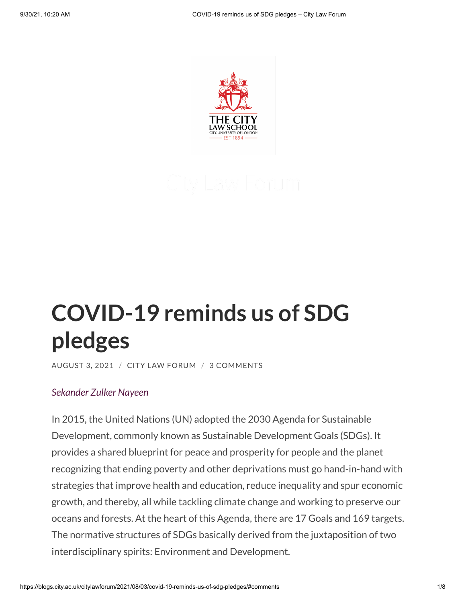

# **[COVID-19](https://blogs.city.ac.uk/citylawforum/2021/08/03/covid-19-reminds-us-of-sdg-pledges/) reminds us of SDG pledges**

[AUGUST](https://blogs.city.ac.uk/citylawforum/2021/08/03/covid-19-reminds-us-of-sdg-pledges/) 3, 2021 / CITY LAW [FORUM](https://blogs.city.ac.uk/citylawforum/author/sbrm694/) / 3 [COMMENTS](#page-5-0)

#### *[Sekander](https://www.city.ac.uk/about/people/research-students/md-sekander-zulker-nayeen) Zulker Nayeen*

In 2015, the United Nations (UN) adopted the 2030 Agenda for Sustainable Development, commonly known as Sustainable Development Goals (SDGs). It provides a shared blueprint for peace and prosperity for people and the planet recognizing that ending poverty and other deprivations must go hand-in-hand with strategies that improve health and education, reduce inequality and spur economic growth, and thereby, all while tackling climate change and working to preserve our oceans and forests. At the heart of this Agenda, there are 17 Goals and 169 targets. The normative structures of SDGs basically derived from the juxtaposition of two interdisciplinary spirits: Environment and Development.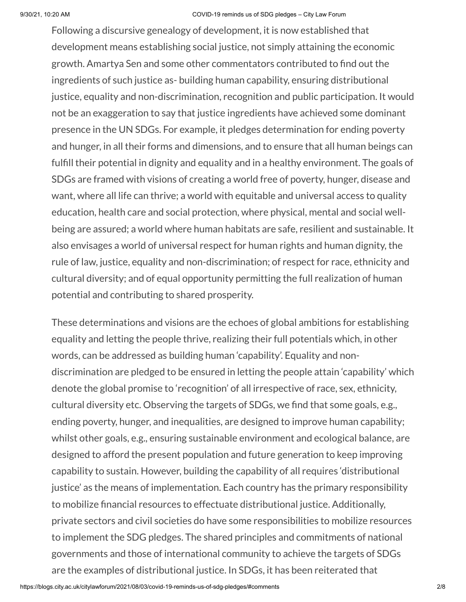Following a discursive genealogy of development, it is now established that development means establishing social justice, not simply attaining the economic growth. Amartya Sen and some other commentators contributed to find out the ingredients of such justice as- building human capability, ensuring distributional justice, equality and non-discrimination, recognition and public participation. It would not be an exaggeration to say that justice ingredients have achieved some dominant presence in the UN SDGs. For example, it pledges determination for ending poverty and hunger, in all their forms and dimensions, and to ensure that all human beings can fulfill their potential in dignity and equality and in a healthy environment. The goals of SDGs are framed with visions of creating a world free of poverty, hunger, disease and want, where all life can thrive; a world with equitable and universal access to quality education, health care and social protection, where physical, mental and social wellbeing are assured; a world where human habitats are safe, resilient and sustainable. It also envisages a world of universal respect for human rights and human dignity, the rule of law, justice, equality and non-discrimination; of respect for race, ethnicity and cultural diversity; and of equal opportunity permitting the full realization of human potential and contributing to shared prosperity.

These determinations and visions are the echoes of global ambitions for establishing equality and letting the people thrive, realizing their full potentials which, in other words, can be addressed as building human 'capability'. Equality and nondiscrimination are pledged to be ensured in letting the people attain 'capability' which denote the global promise to 'recognition' of all irrespective of race, sex, ethnicity, cultural diversity etc. Observing the targets of SDGs, we find that some goals, e.g., ending poverty, hunger, and inequalities, are designed to improve human capability; whilst other goals, e.g., ensuring sustainable environment and ecological balance, are designed to afford the present population and future generation to keep improving capability to sustain. However, building the capability of all requires 'distributional justice' as the means of implementation. Each country has the primary responsibility to mobilize financial resources to effectuate distributional justice. Additionally, private sectors and civil societies do have some responsibilities to mobilize resources to implement the SDG pledges. The shared principles and commitments of national governments and those of international community to achieve the targets of SDGs are the examples of distributional justice. In SDGs, it has been reiterated that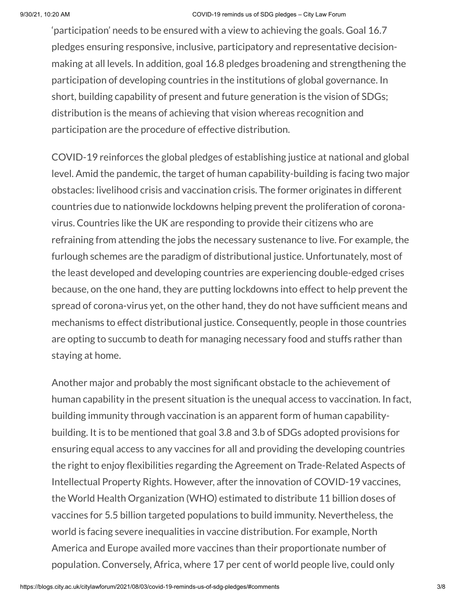'participation' needs to be ensured with a view to achieving the goals. Goal 16.7 pledges ensuring responsive, inclusive, participatory and representative decisionmaking at all levels. In addition, goal 16.8 pledges broadening and strengthening the participation of developing countries in the institutions of global governance. In short, building capability of present and future generation is the vision of SDGs; distribution is the means of achieving that vision whereas recognition and participation are the procedure of effective distribution.

COVID-19 reinforces the global pledges of establishing justice at national and global level. Amid the pandemic, the target of human capability-building is facing two major obstacles: livelihood crisis and vaccination crisis. The former originates in different countries due to nationwide lockdowns helping prevent the proliferation of coronavirus. Countries like the UK are responding to provide their citizens who are refraining from attending the jobs the necessary sustenance to live. For example, the furlough schemes are the paradigm of distributional justice. Unfortunately, most of the least developed and developing countries are experiencing double-edged crises because, on the one hand, they are putting lockdowns into effect to help prevent the spread of corona-virus yet, on the other hand, they do not have sufficient means and mechanisms to effect distributional justice. Consequently, people in those countries are opting to succumb to death for managing necessary food and stuffs rather than staying at home.

Another major and probably the most significant obstacle to the achievement of human capability in the present situation is the unequal access to vaccination. In fact, building immunity through vaccination is an apparent form of human capabilitybuilding. It is to be mentioned that goal 3.8 and 3.b of SDGs adopted provisions for ensuring equal access to any vaccines for all and providing the developing countries the right to enjoy flexibilities regarding the Agreement on Trade-Related Aspects of Intellectual Property Rights. However, after the innovation of COVID-19 vaccines, the World Health Organization (WHO) estimated to distribute 11 billion doses of vaccines for 5.5 billion targeted populations to build immunity. Nevertheless, the world is facing severe inequalities in vaccine distribution. For example, North America and Europe availed more vaccines than their proportionate number of population. Conversely, Africa, where 17 per cent of world people live, could only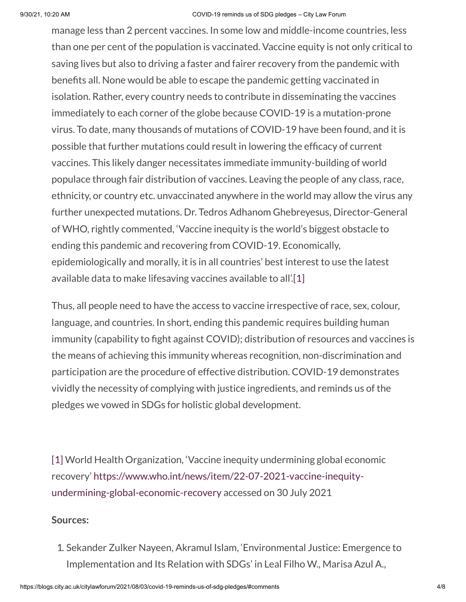#### 9/30/21, 10:20 AM COVID-19 reminds us of SDG pledges – City Law Forum

manage less than 2 percent vaccines. In some low and middle-income countries, less than one per cent of the population is vaccinated. Vaccine equity is not only critical to saving lives but also to driving a faster and fairer recovery from the pandemic with benefits all. None would be able to escape the pandemic getting vaccinated in isolation. Rather, every country needs to contribute in disseminating the vaccines immediately to each corner of the globe because COVID-19 is a mutation-prone virus. To date, many thousands of mutations of COVID-19 have been found, and it is possible that further mutations could result in lowering the efficacy of current vaccines. This likely danger necessitates immediate immunity-building of world populace through fair distribution of vaccines. Leaving the people of any class, race, ethnicity, or country etc. unvaccinated anywhere in the world may allow the virus any further unexpected mutations. Dr. Tedros Adhanom Ghebreyesus, Director-General of WHO, rightly commented, 'Vaccine inequity is the world's biggest obstacle to ending this pandemic and recovering from COVID-19. Economically, epidemiologically and morally, it is in all countries' best interest to use the latest available data to make lifesaving vaccines available to all'[.\[1\]](#page-3-0)

<span id="page-3-1"></span>Thus, all people need to have the access to vaccine irrespective of race, sex, colour, language, and countries. In short, ending this pandemic requires building human immunity (capability to fight against COVID); distribution of resources and vaccines is the means of achieving this immunity whereas recognition, non-discrimination and participation are the procedure of effective distribution. COVID-19 demonstrates vividly the necessity of complying with justice ingredients, and reminds us of the pledges we vowed in SDGs for holistic global development.

<span id="page-3-0"></span>[\[1\]](#page-3-1) World Health Organization, 'Vaccine inequity undermining global economic recovery' [https://www.who.int/news/item/22-07-2021-vaccine-inequity](https://www.who.int/news/item/22-07-2021-vaccine-inequity-undermining-global-economic-recovery)undermining-global-economic-recovery accessed on 30 July 2021

### **Sources:**

1. Sekander Zulker Nayeen, Akramul Islam, 'Environmental Justice: Emergence to Implementation and Its Relation with SDGs' in Leal Filho W., Marisa Azul A.,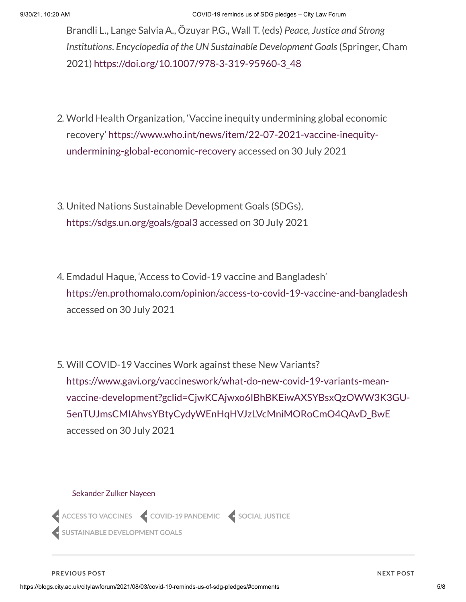Brandli L., Lange Salvia A., Özuyar P.G., Wall T. (eds) *Peace, Justice and Strong Institutions*. *Encyclopedia of the UN Sustainable Development Goals*(Springer, Cham 2021) [https://doi.org/10.1007/978-3-319-95960-3\\_48](https://doi.org/10.1007/978-3-319-95960-3_48)

- 2. World Health Organization, 'Vaccine inequity undermining global economic recovery' [https://www.who.int/news/item/22-07-2021-vaccine-inequity](https://www.who.int/news/item/22-07-2021-vaccine-inequity-undermining-global-economic-recovery)undermining-global-economic-recovery accessed on 30 July 2021
- 3. United Nations Sustainable Development Goals (SDGs), <https://sdgs.un.org/goals/goal3> accessed on 30 July 2021
- 4. Emdadul Haque, 'Access to Covid-19 vaccine and Bangladesh' <https://en.prothomalo.com/opinion/access-to-covid-19-vaccine-and-bangladesh> accessed on 30 July 2021
- 5. Will COVID-19 Vaccines Work against these New Variants? https://www.gavi.org/vaccineswork/what-do-new-covid-19-variants-mean[vaccine-development?gclid=CjwKCAjwxo6IBhBKEiwAXSYBsxQzOWW3K3GU-](https://www.gavi.org/vaccineswork/what-do-new-covid-19-variants-mean-vaccine-development?gclid=CjwKCAjwxo6IBhBKEiwAXSYBsxQzOWW3K3GU-5enTUJmsCMIAhvsYBtyCydyWEnHqHVJzLVcMniMORoCmO4QAvD_BwE)5enTUJmsCMIAhvsYBtyCydyWEnHqHVJzLVcMniMORoCmO4QAvD\_BwE accessed on 30 July 2021

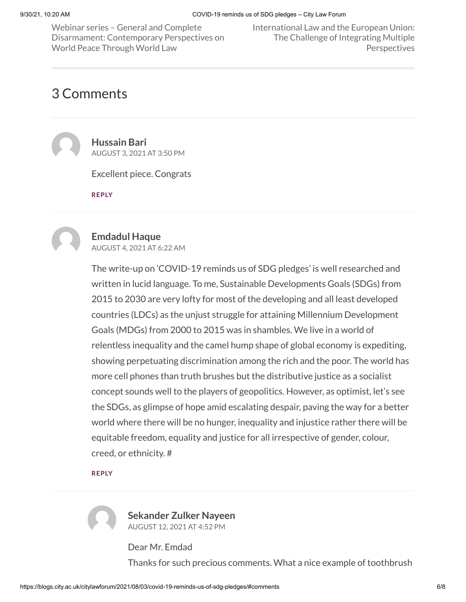Webinar series – General and Complete Disarmament: [Contemporary](https://blogs.city.ac.uk/citylawforum/2021/07/27/webinar-series-general-and-complete-disarmament-contemporary-perspectives-on-world-peace-through-world-law/) Perspectives on World Peace Through World Law

[International](https://blogs.city.ac.uk/citylawforum/2021/09/08/international-law-and-the-european-union-the-challenge-of-integrating-multiple-perspectives/) Law and the European Union: The Challenge of Integrating Multiple **Perspectives** 

# <span id="page-5-0"></span>3 Comments

<span id="page-5-1"></span>

**Hussain Bari** [AUGUST](#page-5-1) 3, 2021 AT 3:50 PM

Excellent piece. Congrats

**[REPLY](https://blogs.city.ac.uk/citylawforum/2021/08/03/covid-19-reminds-us-of-sdg-pledges/?replytocom=2#respond)**

<span id="page-5-2"></span>

#### **Emdadul Haque**

[AUGUST](#page-5-2) 4, 2021 AT 6:22 AM

The write-up on 'COVID-19 reminds us of SDG pledges' is well researched and written in lucid language. To me, Sustainable Developments Goals (SDGs) from 2015 to 2030 are very lofty for most of the developing and all least developed countries (LDCs) as the unjust struggle for attaining Millennium Development Goals (MDGs) from 2000 to 2015 was in shambles. We live in a world of relentless inequality and the camel hump shape of global economy is expediting, showing perpetuating discrimination among the rich and the poor. The world has more cell phones than truth brushes but the distributive justice as a socialist concept sounds well to the players of geopolitics. However, as optimist, let's see the SDGs, as glimpse of hope amid escalating despair, paving the way for a better world where there will be no hunger, inequality and injustice rather there will be equitable freedom, equality and justice for all irrespective of gender, colour, creed, or ethnicity. #

#### **[REPLY](https://blogs.city.ac.uk/citylawforum/2021/08/03/covid-19-reminds-us-of-sdg-pledges/?replytocom=3#respond)**

<span id="page-5-3"></span>

**Sekander Zulker Nayeen** [AUGUST](#page-5-3) 12, 2021 AT 4:52 PM

Dear Mr. Emdad Thanks for such precious comments. What a nice example of toothbrush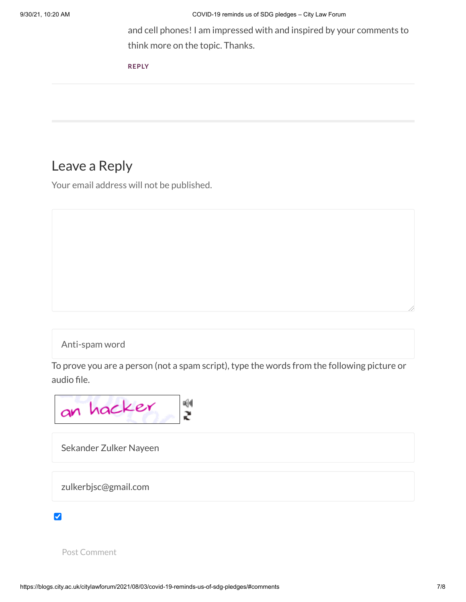and cell phones! I am impressed with and inspired by your comments to think more on the topic. Thanks.

**[REPLY](https://blogs.city.ac.uk/citylawforum/2021/08/03/covid-19-reminds-us-of-sdg-pledges/?replytocom=4#respond)**

## Leave a Reply

Your email address will not be published.

### Anti-spam word

To prove you are a person (not a spam script), type the words from the following picture or audio file.



Sekander Zulker Nayeen

zulkerbjsc@gmail.com

#### $\blacktriangledown$

Post Comment